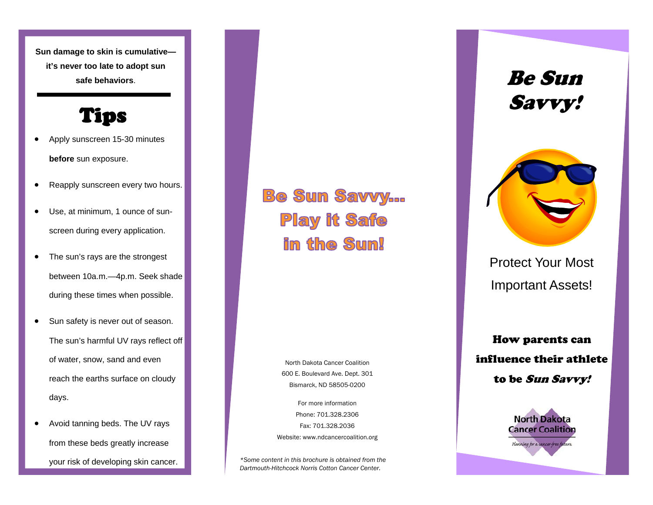**Sun damage to skin is cumulative it's never too late to adopt sun safe behaviors**.

## Tips

- Apply sunscreen 15-30 minutes **before** sun exposure.
- Reapply sunscreen every two hours.
- Use, at minimum, 1 ounce of sunscreen during every application.
- The sun's rays are the strongest between 10a.m.—4p.m. Seek shade during these times when possible.
- Sun safety is never out of season. The sun's harmful UV rays reflect off of water, snow, sand and even reach the earths surface on cloudy days.
- Avoid tanning beds. The UV rays from these beds greatly increase your risk of developing skin cancer.

**Be Sun Savvy... Play it Safe** in the Sun!

> North Dakota Cancer Coalition 600 E. Boulevard Ave. Dept. 301 Bismarck, ND 58505-0200

For more information Phone: 701.328.2306 Fax: 701.328.2036 Website: www.ndcancercoalition.org

*\*Some content in this brochure is obtained from the Dartmouth-Hitchcock Norris Cotton Cancer Center.* 

Be Sun Savvy!



Protect Your Most Important Assets!

How parents can influence their athlete to be Sun Savvy!